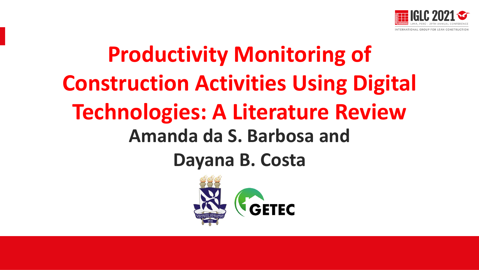

# **Productivity Monitoring of Construction Activities Using Digital Technologies: A Literature Review Amanda da S. Barbosa and Dayana B. Costa**

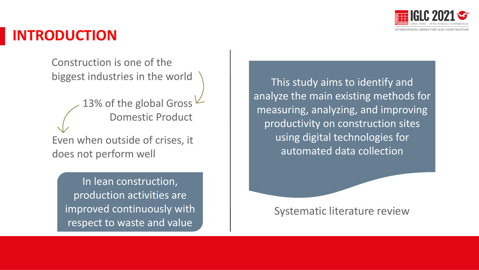

### **INTRODUCTION**

Construction is one of the biggest industries in the world

13% of the global Gross  $\vee$ Domestic Product Even when outside of crises, it does not perform well

In lean construction, production activities are improved continuously with respect to waste and value

This study aims to identify and analyze the main existing methods for measuring, analyzing, and improving productivity on construction sites using digital technologies for automated data collection

Systematic literature review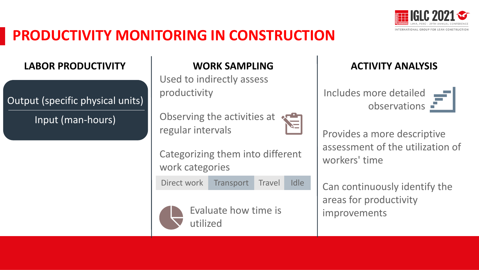

## **PRODUCTIVITY MONITORING IN CONSTRUCTION**

#### **LABOR PRODUCTIVITY**

Input (man-hours)

#### **WORK SAMPLING**

Used to indirectly assess productivity

Observing the activities at regular intervals

Categorizing them into different work categories

Direct work Transport Travel Idle



Evaluate how time is utilized

#### **ACTIVITY ANALYSIS**

Includes more detailed Output (specific physical units) and the contract of the collections of the collections of the collections  $\blacksquare$ 

> Provides a more descriptive assessment of the utilization of workers' time

Can continuously identify the areas for productivity improvements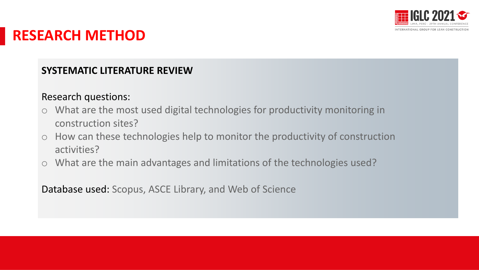

### **RESEARCH METHOD**

#### **SYSTEMATIC LITERATURE REVIEW**

#### Research questions:

- o What are the most used digital technologies for productivity monitoring in construction sites?
- o How can these technologies help to monitor the productivity of construction activities?
- o What are the main advantages and limitations of the technologies used?

Database used: Scopus, ASCE Library, and Web of Science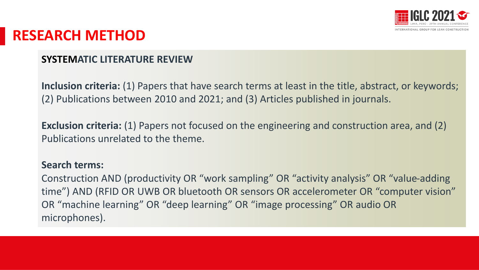

### **RESEARCH METHOD**

#### **SYSTEMATIC LITERATURE REVIEW**

**Inclusion criteria:** (1) Papers that have search terms at least in the title, abstract, or keywords; (2) Publications between 2010 and 2021; and (3) Articles published in journals.

**Exclusion criteria:** (1) Papers not focused on the engineering and construction area, and (2) Publications unrelated to the theme.

#### **Search terms:**

Construction AND (productivity OR "work sampling" OR "activity analysis" OR "value-adding time") AND (RFID OR UWB OR bluetooth OR sensors OR accelerometer OR "computer vision" OR "machine learning" OR "deep learning" OR "image processing" OR audio OR microphones).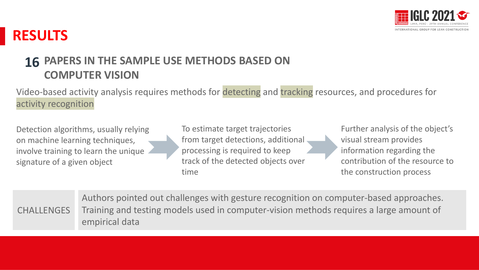

### **PAPERS IN THE SAMPLE USE METHODS BASED ON 16COMPUTER VISION**

Video-based activity analysis requires methods for detecting and tracking resources, and procedures for activity recognition

Detection algorithms, usually relying on machine learning techniques, involve training to learn the unique signature of a given object

To estimate target trajectories from target detections, additional processing is required to keep track of the detected objects over time

Further analysis of the object's visual stream provides information regarding the contribution of the resource to the construction process

|                   | Authors pointed out challenges with gesture recognition on computer-based approaches.  |
|-------------------|----------------------------------------------------------------------------------------|
| <b>CHALLENGES</b> | Training and testing models used in computer-vision methods requires a large amount of |
|                   | empirical data                                                                         |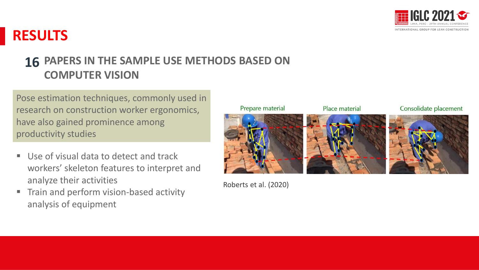

### **PAPERS IN THE SAMPLE USE METHODS BASED ON 16COMPUTER VISION**

Pose estimation techniques, commonly used in research on construction worker ergonomics, have also gained prominence among productivity studies

- Use of visual data to detect and track workers' skeleton features to interpret and analyze their activities
- **Fig. 3** Train and perform vision-based activity analysis of equipment



Roberts et al. (2020)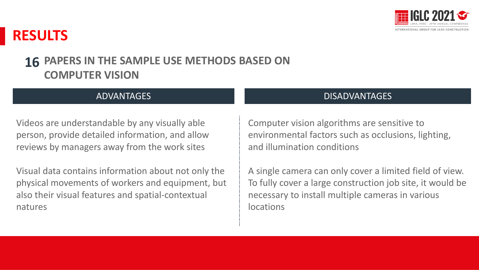

#### **PAPERS IN THE SAMPLE USE METHODS BASED ON COMPUTER VISION 16**

Videos are understandable by any visually able person, provide detailed information, and allow reviews by managers away from the work sites

Visual data contains information about not only the physical movements of workers and equipment, but also their visual features and spatial-contextual natures

#### ADVANTAGES TELEVISION OF THE CONTRACT OF THE CONTRACT OF THE CONTRACT OF THE CONTRACT OF THE CONTRACT OF THE CONTRACT OF THE CONTRACT OF THE CONTRACT OF THE CONTRACT OF THE CONTRACT OF THE CONTRACT OF THE CONTRACT OF THE C

Computer vision algorithms are sensitive to environmental factors such as occlusions, lighting, and illumination conditions

A single camera can only cover a limited field of view. To fully cover a large construction job site, it would be necessary to install multiple cameras in various locations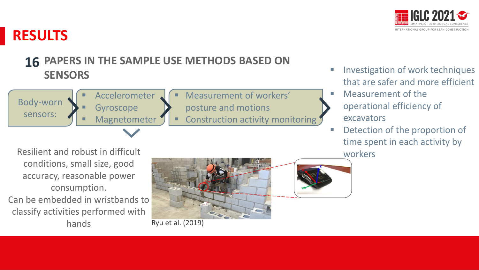

### **PAPERS IN THE SAMPLE USE METHODS BASED ON 16 SENSORS**

Body-worn sensors:

**Accelerometer Gyroscope** Magnetometer Measurement of workers' posture and motions Construction activity monitoring Investigation of work techniques that are safer and more efficient

- Measurement of the operational efficiency of excavators
- Detection of the proportion of time spent in each activity by workers

Resilient and robust in difficult conditions, small size, good accuracy, reasonable power consumption. Can be embedded in wristbands to classify activities performed with

hands Ryu et al. (2019)

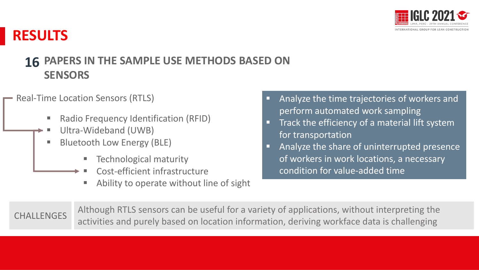

### **PAPERS IN THE SAMPLE USE METHODS BASED ON 16 SENSORS**

#### Real-Time Location Sensors (RTLS)

- Radio Frequency Identification (RFID)
- Ultra-Wideband (UWB)
- **Bluetooth Low Energy (BLE)** 
	- Technological maturity
	- Cost-efficient infrastructure
	- Ability to operate without line of sight
- Analyze the time trajectories of workers and perform automated work sampling
- Track the efficiency of a material lift system for transportation
- Analyze the share of uninterrupted presence of workers in work locations, a necessary condition for value-added time

Although RTLS sensors can be useful for a variety of applications, without interpreting the cHALLENGES<br>activities and purely based on location information, deriving workface data is challenging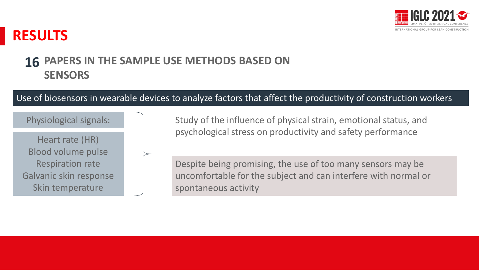

#### **PAPERS IN THE SAMPLE USE METHODS BASED ON SENSORS 16**

#### Use of biosensors in wearable devices to analyze factors that affect the productivity of construction workers

#### Physiological signals:

Heart rate (HR) Blood volume pulse Respiration rate Galvanic skin response Skin temperature

Study of the influence of physical strain, emotional status, and psychological stress on productivity and safety performance

Despite being promising, the use of too many sensors may be uncomfortable for the subject and can interfere with normal or spontaneous activity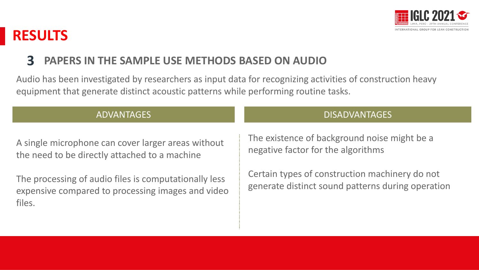

### **3 PAPERS IN THE SAMPLE USE METHODS BASED ON AUDIO**

Audio has been investigated by researchers as input data for recognizing activities of construction heavy equipment that generate distinct acoustic patterns while performing routine tasks.

A single microphone can cover larger areas without the need to be directly attached to a machine

The processing of audio files is computationally less expensive compared to processing images and video files.

#### ADVANTAGES DISADVANTAGES

The existence of background noise might be a negative factor for the algorithms

Certain types of construction machinery do not generate distinct sound patterns during operation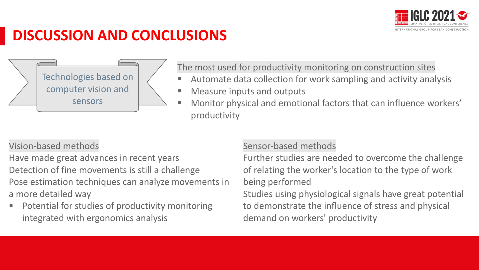

### **DISCUSSION AND CONCLUSIONS**

Technologies based on computer vision and sensors

The most used for productivity monitoring on construction sites

- Automate data collection for work sampling and activity analysis
- Measure inputs and outputs
- Monitor physical and emotional factors that can influence workers' productivity

Vision-based methods

Have made great advances in recent years Detection of fine movements is still a challenge Pose estimation techniques can analyze movements in a more detailed way

Potential for studies of productivity monitoring integrated with ergonomics analysis

#### Sensor-based methods

Further studies are needed to overcome the challenge of relating the worker's location to the type of work being performed

Studies using physiological signals have great potential to demonstrate the influence of stress and physical demand on workers' productivity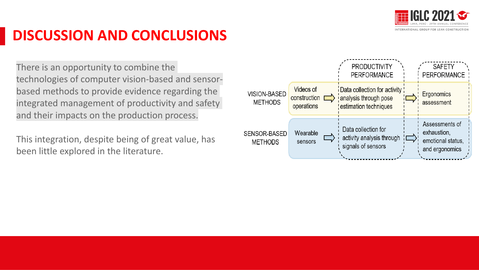

## **DISCUSSION AND CONCLUSIONS**

There is an opportunity to combine the technologies of computer vision-based and sensorbased methods to provide evidence regarding the integrated management of productivity and safety and their impacts on the production process.

This integration, despite being of great value, has been little explored in the literature.